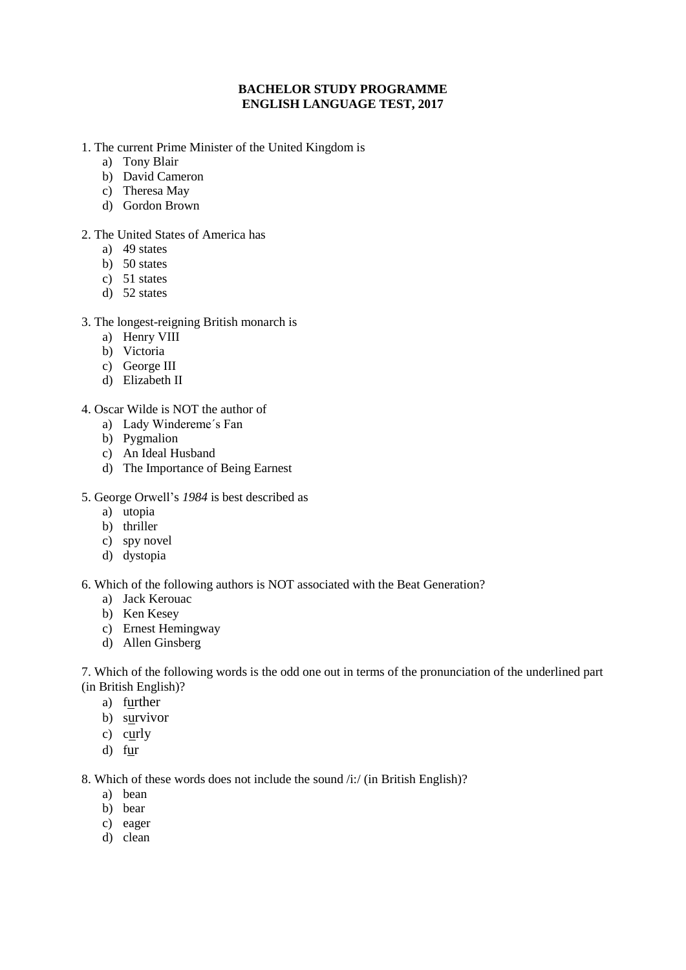### **BACHELOR STUDY PROGRAMME ENGLISH LANGUAGE TEST, 2017**

- 1. The current Prime Minister of the United Kingdom is
	- a) Tony Blair
	- b) David Cameron
	- c) Theresa May
	- d) Gordon Brown
- 2. The United States of America has
	- a) 49 states
	- b) 50 states
	- c) 51 states
	- d) 52 states
- 3. The longest-reigning British monarch is
	- a) Henry VIII
	- b) Victoria
	- c) George III
	- d) Elizabeth II
- 4. Oscar Wilde is NOT the author of
	- a) Lady Windereme´s Fan
	- b) Pygmalion
	- c) An Ideal Husband
	- d) The Importance of Being Earnest
- 5. George Orwell's *1984* is best described as
	- a) utopia
	- b) thriller
	- c) spy novel
	- d) dystopia

#### 6. Which of the following authors is NOT associated with the Beat Generation?

- a) Jack Kerouac
- b) Ken Kesey
- c) Ernest Hemingway
- d) Allen Ginsberg

7. Which of the following words is the odd one out in terms of the pronunciation of the underlined part (in British English)?

- a) further
- b) survivor
- c) curly
- d) fur

8. Which of these words does not include the sound /i:/ (in British English)?

- a) bean
- b) bear
- c) eager
- d) clean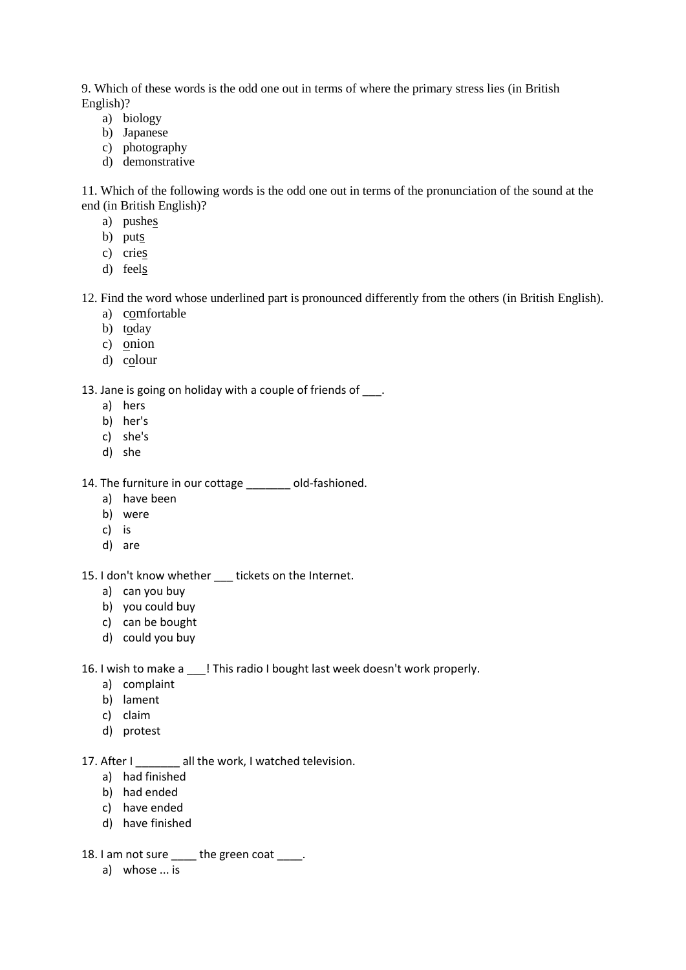9. Which of these words is the odd one out in terms of where the primary stress lies (in British English)?

- a) biology
- b) Japanese
- c) photography
- d) demonstrative

11. Which of the following words is the odd one out in terms of the pronunciation of the sound at the end (in British English)?

- a) pushes
- b) puts
- c) cries
- d) feels

12. Find the word whose underlined part is pronounced differently from the others (in British English).

- a) comfortable
- b) today
- c) onion
- d) colour

### 13. Jane is going on holiday with a couple of friends of \_\_\_.

- a) hers
- b) her's
- c) she's
- d) she
- 14. The furniture in our cottage \_\_\_\_\_\_\_ old-fashioned.
	- a) have been
	- b) were
	- c) is
	- d) are

# 15. I don't know whether \_\_\_ tickets on the Internet.

- a) can you buy
- b) you could buy
- c) can be bought
- d) could you buy
- 16. I wish to make a \_\_\_! This radio I bought last week doesn't work properly.
	- a) complaint
	- b) lament
	- c) claim
	- d) protest

# 17. After I all the work, I watched television.

- a) had finished
- b) had ended
- c) have ended
- d) have finished
- 18. I am not sure \_\_\_\_ the green coat \_\_\_\_.
	- a) whose ... is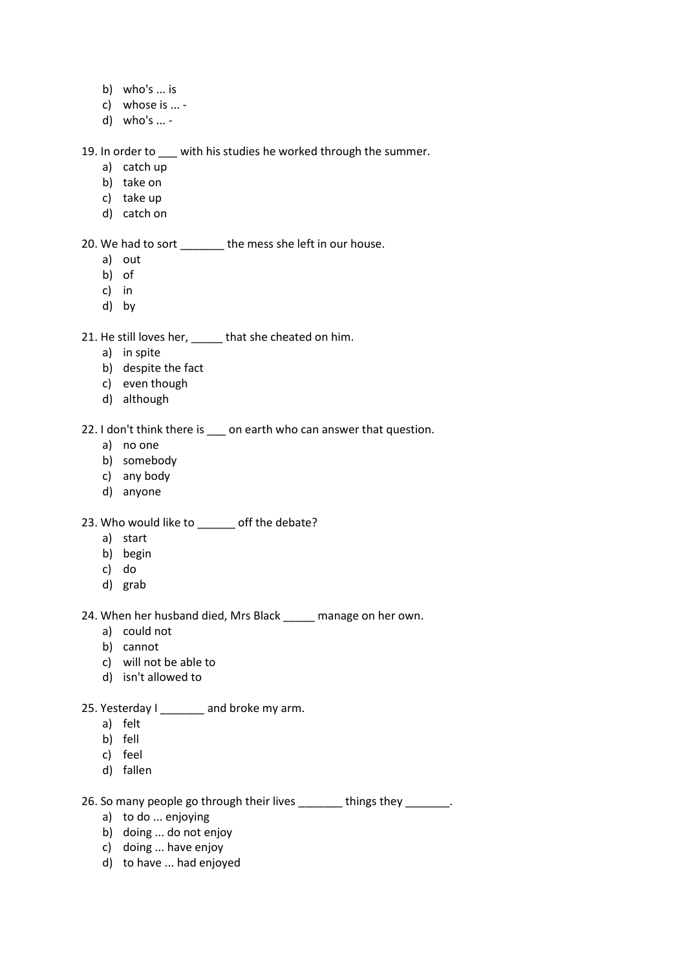- b) who's ... is
- c) whose is ... -
- d) who's ... -

19. In order to \_\_\_ with his studies he worked through the summer.

- a) catch up
- b) take on
- c) take up
- d) catch on

20. We had to sort \_\_\_\_\_\_\_ the mess she left in our house.

- a) out
- b) of
- c) in
- d) by

21. He still loves her, \_\_\_\_\_ that she cheated on him.

- a) in spite
- b) despite the fact
- c) even though
- d) although

22. I don't think there is \_\_\_ on earth who can answer that question.

- a) no one
- b) somebody
- c) any body
- d) anyone

23. Who would like to off the debate?

- a) start
- b) begin
- c) do
- d) grab

24. When her husband died, Mrs Black \_\_\_\_\_ manage on her own.

- a) could not
- b) cannot
- c) will not be able to
- d) isn't allowed to
- 25. Yesterday I \_\_\_\_\_\_\_ and broke my arm.
	- a) felt
	- b) fell
	- c) feel
	- d) fallen

26. So many people go through their lives \_\_\_\_\_\_\_\_ things they \_\_\_\_\_\_\_.

- a) to do ... enjoying
- b) doing ... do not enjoy
- c) doing ... have enjoy
- d) to have ... had enjoyed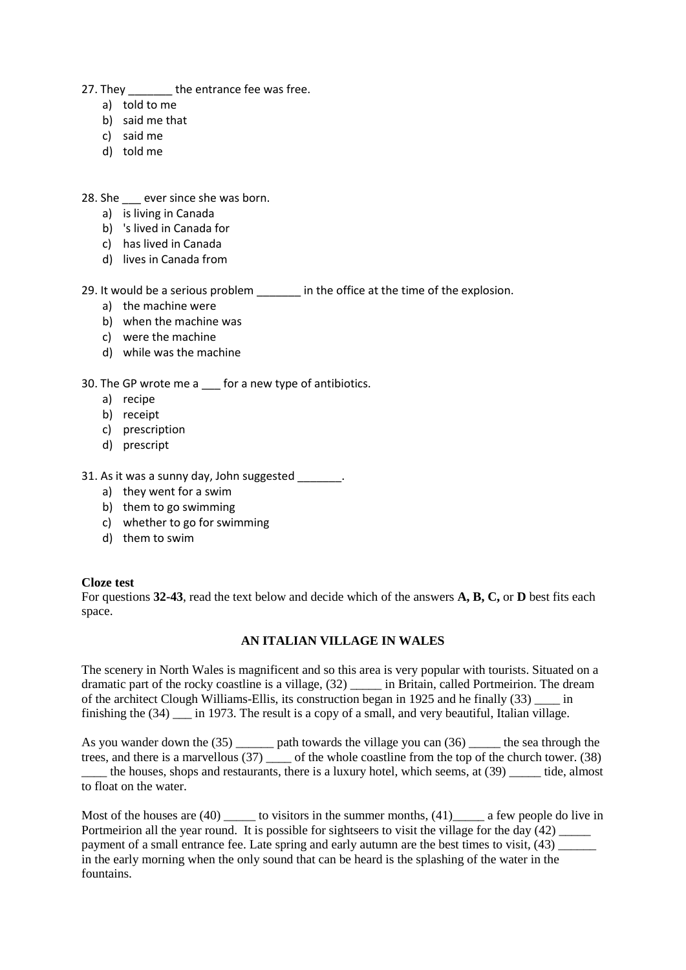- 27. They the entrance fee was free.
	- a) told to me
	- b) said me that
	- c) said me
	- d) told me
- 28. She \_\_\_ ever since she was born.
	- a) is living in Canada
	- b) 's lived in Canada for
	- c) has lived in Canada
	- d) lives in Canada from

29. It would be a serious problem \_\_\_\_\_\_\_ in the office at the time of the explosion.

- a) the machine were
- b) when the machine was
- c) were the machine
- d) while was the machine

30. The GP wrote me a \_\_\_ for a new type of antibiotics.

- a) recipe
- b) receipt
- c) prescription
- d) prescript

31. As it was a sunny day, John suggested  $\qquad \qquad$ .

- a) they went for a swim
- b) them to go swimming
- c) whether to go for swimming
- d) them to swim

#### **Cloze test**

For questions **32-43**, read the text below and decide which of the answers **A, B, C,** or **D** best fits each space.

# **AN ITALIAN VILLAGE IN WALES**

The scenery in North Wales is magnificent and so this area is very popular with tourists. Situated on a dramatic part of the rocky coastline is a village, (32) \_\_\_\_\_ in Britain, called Portmeirion. The dream of the architect Clough Williams-Ellis, its construction began in 1925 and he finally (33) \_\_\_\_ in finishing the  $(34)$  in 1973. The result is a copy of a small, and very beautiful, Italian village.

As you wander down the (35) \_\_\_\_\_\_ path towards the village you can (36) \_\_\_\_\_ the sea through the trees, and there is a marvellous (37) \_\_\_\_ of the whole coastline from the top of the church tower. (38)

\_\_\_\_ the houses, shops and restaurants, there is a luxury hotel, which seems, at (39) \_\_\_\_\_ tide, almost to float on the water.

Most of the houses are (40) \_\_\_\_\_\_ to visitors in the summer months, (41) \_\_\_\_\_\_ a few people do live in Portmeirion all the year round. It is possible for sightseers to visit the village for the day  $(42)$ payment of a small entrance fee. Late spring and early autumn are the best times to visit, (43) in the early morning when the only sound that can be heard is the splashing of the water in the fountains.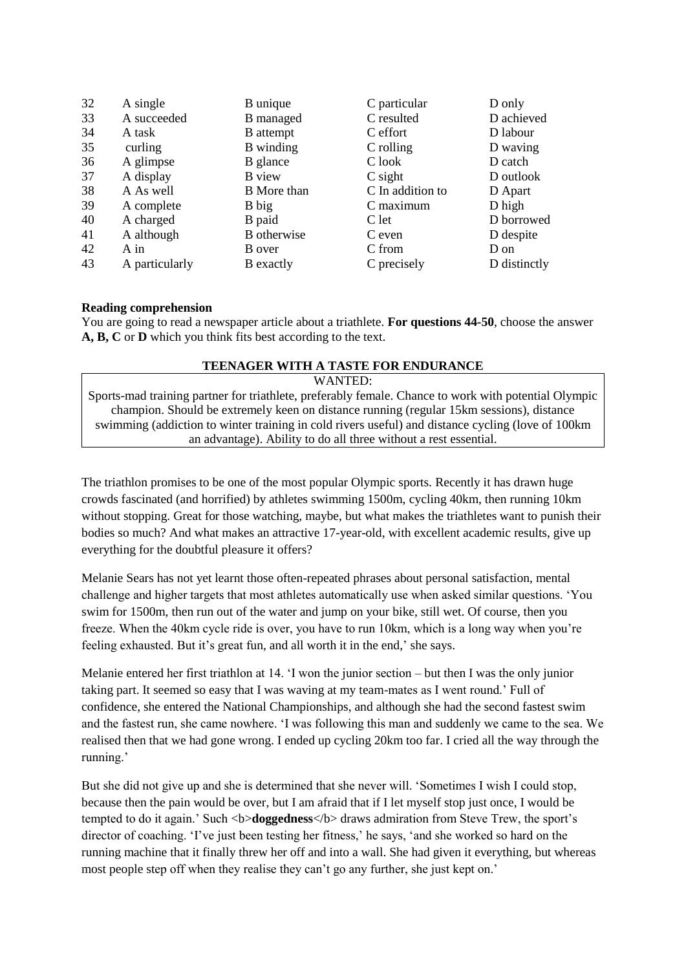| 32 | A single       | B unique           | C particular     | D only       |
|----|----------------|--------------------|------------------|--------------|
| 33 | A succeeded    | B managed          | C resulted       | D achieved   |
| 34 | A task         | <b>B</b> attempt   | C effort         | D labour     |
| 35 | curling        | B winding          | C rolling        | D waving     |
| 36 | A glimpse      | B glance           | C look           | D catch      |
| 37 | A display      | <b>B</b> view      | $C$ sight        | D outlook    |
| 38 | A As well      | <b>B</b> More than | C In addition to | D Apart      |
| 39 | A complete     | B big              | C maximum        | D high       |
| 40 | A charged      | B paid             | C let            | D borrowed   |
| 41 | A although     | B otherwise        | C even           | D despite    |
| 42 | $A$ in         | B over             | C from           | D on         |
| 43 | A particularly | <b>B</b> exactly   | C precisely      | D distinctly |

#### **Reading comprehension**

You are going to read a newspaper article about a triathlete. **For questions 44-50**, choose the answer **A, B, C** or **D** which you think fits best according to the text.

# **TEENAGER WITH A TASTE FOR ENDURANCE**

WANTED:

Sports-mad training partner for triathlete, preferably female. Chance to work with potential Olympic champion. Should be extremely keen on distance running (regular 15km sessions), distance swimming (addiction to winter training in cold rivers useful) and distance cycling (love of 100km an advantage). Ability to do all three without a rest essential.

The triathlon promises to be one of the most popular Olympic sports. Recently it has drawn huge crowds fascinated (and horrified) by athletes swimming 1500m, cycling 40km, then running 10km without stopping. Great for those watching, maybe, but what makes the triathletes want to punish their bodies so much? And what makes an attractive 17-year-old, with excellent academic results, give up everything for the doubtful pleasure it offers?

Melanie Sears has not yet learnt those often-repeated phrases about personal satisfaction, mental challenge and higher targets that most athletes automatically use when asked similar questions. ʻYou swim for 1500m, then run out of the water and jump on your bike, still wet. Of course, then you freeze. When the 40km cycle ride is over, you have to run 10km, which is a long way when you're feeling exhausted. But it's great fun, and all worth it in the end,' she says.

Melanie entered her first triathlon at 14. ʻI won the junior section – but then I was the only junior taking part. It seemed so easy that I was waving at my team-mates as I went round.' Full of confidence, she entered the National Championships, and although she had the second fastest swim and the fastest run, she came nowhere. ʻI was following this man and suddenly we came to the sea. We realised then that we had gone wrong. I ended up cycling 20km too far. I cried all the way through the running.'

But she did not give up and she is determined that she never will. ʻSometimes I wish I could stop, because then the pain would be over, but I am afraid that if I let myself stop just once, I would be tempted to do it again.' Such <b>doggedness</b> draws admiration from Steve Trew, the sport's director of coaching. ʻI've just been testing her fitness,' he says, ʻand she worked so hard on the running machine that it finally threw her off and into a wall. She had given it everything, but whereas most people step off when they realise they can't go any further, she just kept on.'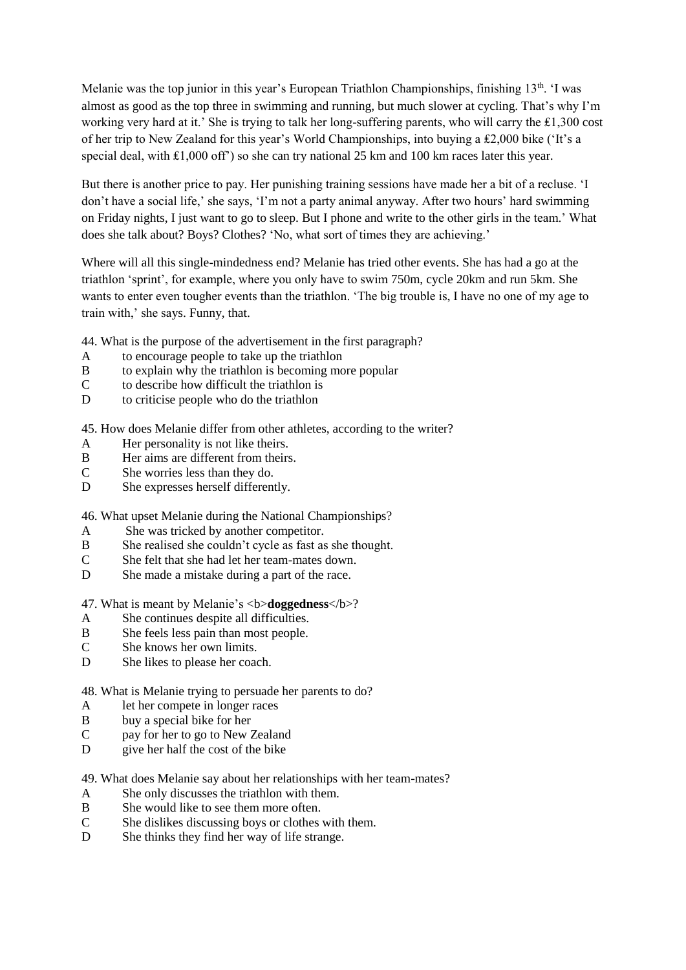Melanie was the top junior in this year's European Triathlon Championships, finishing 13<sup>th</sup>. 'I was almost as good as the top three in swimming and running, but much slower at cycling. That's why I'm working very hard at it.' She is trying to talk her long-suffering parents, who will carry the ₤1,300 cost of her trip to New Zealand for this year's World Championships, into buying a ₤2,000 bike (ʻIt's a special deal, with £1,000 off') so she can try national 25 km and 100 km races later this year.

But there is another price to pay. Her punishing training sessions have made her a bit of a recluse. ʻI don't have a social life,' she says, ʻI'm not a party animal anyway. After two hours' hard swimming on Friday nights, I just want to go to sleep. But I phone and write to the other girls in the team.' What does she talk about? Boys? Clothes? ʻNo, what sort of times they are achieving.'

Where will all this single-mindedness end? Melanie has tried other events. She has had a go at the triathlon ʻsprint', for example, where you only have to swim 750m, cycle 20km and run 5km. She wants to enter even tougher events than the triathlon. ʻThe big trouble is, I have no one of my age to train with,' she says. Funny, that.

44. What is the purpose of the advertisement in the first paragraph?

- A to encourage people to take up the triathlon
- B to explain why the triathlon is becoming more popular
- C to describe how difficult the triathlon is
- D to criticise people who do the triathlon

45. How does Melanie differ from other athletes, according to the writer?

- A Her personality is not like theirs.
- B Her aims are different from theirs.
- C She worries less than they do.
- D She expresses herself differently.

46. What upset Melanie during the National Championships?

- A She was tricked by another competitor.
- B She realised she couldn't cycle as fast as she thought.
- C She felt that she had let her team-mates down.
- D She made a mistake during a part of the race.

47. What is meant by Melanie's <b>**doggedness**</b>?

- A She continues despite all difficulties.
- B She feels less pain than most people.
- C She knows her own limits.
- D She likes to please her coach.

48. What is Melanie trying to persuade her parents to do?

- A let her compete in longer races
- B buy a special bike for her
- C pay for her to go to New Zealand
- D give her half the cost of the bike

49. What does Melanie say about her relationships with her team-mates?

- A She only discusses the triathlon with them.
- B She would like to see them more often.
- C She dislikes discussing boys or clothes with them.
- D She thinks they find her way of life strange.